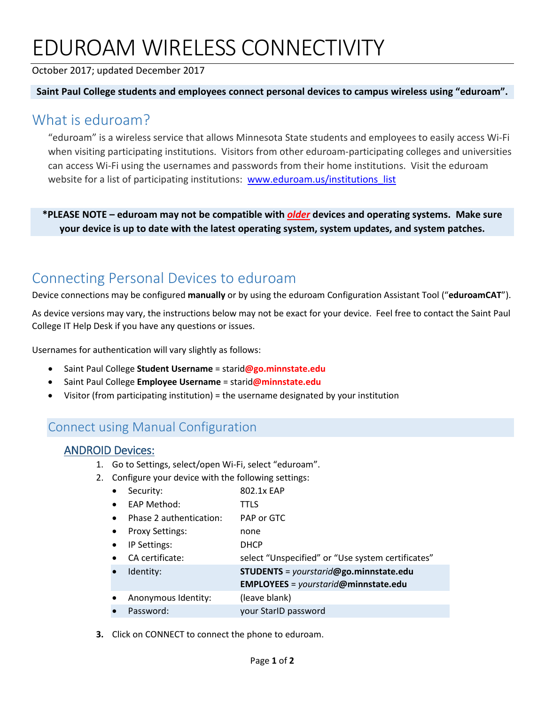# EDUROAM WIRELESS CONNECTIVITY

#### October 2017; updated December 2017

#### **Saint Paul College students and employees connect personal devices to campus wireless using "eduroam".**

### What is eduroam?

"eduroam" is a wireless service that allows Minnesota State students and employees to easily access Wi-Fi when visiting participating institutions. Visitors from other eduroam-participating colleges and universities can access Wi-Fi using the usernames and passwords from their home institutions. Visit the eduroam website for a list of participating institutions: www.eduroam.us/institutions list

**\*PLEASE NOTE – eduroam may not be compatible with** *older* **devices and operating systems. Make sure your device is up to date with the latest operating system, system updates, and system patches.**

## Connecting Personal Devices to eduroam

Device connections may be configured **manually** or by using the eduroam Configuration Assistant Tool ("**eduroamCAT**").

As device versions may vary, the instructions below may not be exact for your device. Feel free to contact the Saint Paul College IT Help Desk if you have any questions or issues.

Usernames for authentication will vary slightly as follows:

- Saint Paul College **Student Username** = starid**@go.minnstate.edu**
- Saint Paul College **Employee Username** = starid**@minnstate.edu**
- Visitor (from participating institution) = the username designated by your institution

## Connect using Manual Configuration

#### ANDROID Devices:

- 1. Go to Settings, select/open Wi-Fi, select "eduroam".
- 2. Configure your device with the following settings:
	- Security: 802.1x EAP
	- EAP Method: TTLS
	- Phase 2 authentication: PAP or GTC
	- Proxy Settings: none
	- IP Settings: DHCP
	- CA certificate: select "Unspecified" or "Use system certificates"
	- Identity: **STUDENTS** = *yourstarid***@go.minnstate.edu**
		- **EMPLOYEES** = *yourstarid***@minnstate.edu**
	- Anonymous Identity: (leave blank)
	- Password: your StarID password

**3.** Click on CONNECT to connect the phone to eduroam.